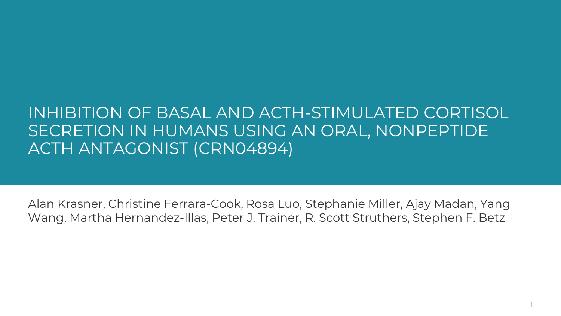### INHIBITION OF BASAL AND ACTH-STIMULATED CORTISOL SECRETION IN HUMANS USING AN ORAL, NONPEPTIDE ACTH ANTAGONIST (CRN04894)

Alan Krasner, Christine Ferrara-Cook, Rosa Luo, Stephanie Miller, Ajay Madan, Yang Wang, Martha Hernandez-Illas, Peter J. Trainer, R. Scott Struthers, Stephen F. Betz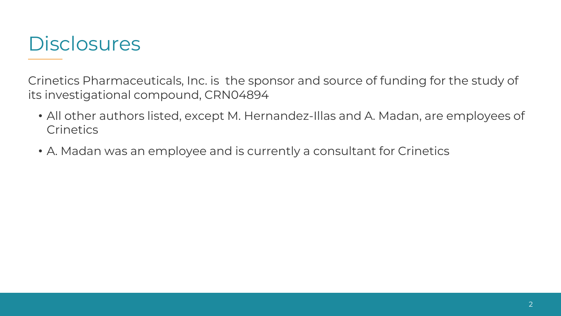

Crinetics Pharmaceuticals, Inc. is the sponsor and source of funding for the study of its investigational compound, CRN04894

- All other authors listed, except M. Hernandez-Illas and A. Madan, are employees of **Crinetics**
- A. Madan was an employee and is currently a consultant for Crinetics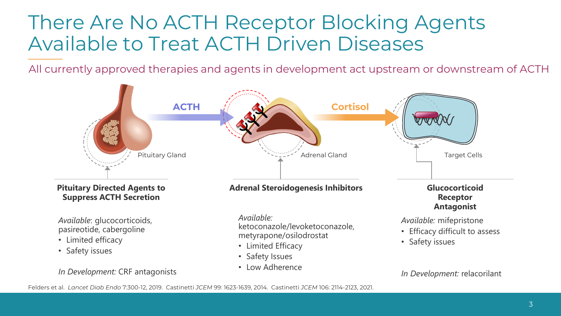# There Are No ACTH Receptor Blocking Agents Available to Treat ACTH Driven Diseases

All currently approved therapies and agents in development act upstream or downstream of ACTH

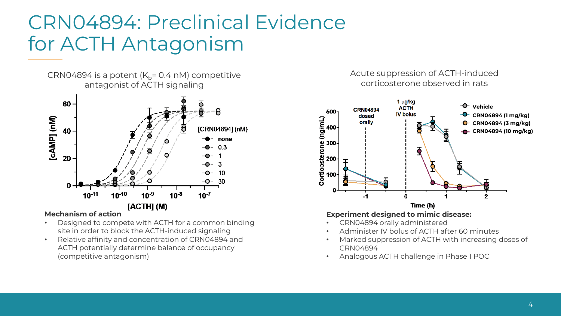# CRN04894: Preclinical Evidence for ACTH Antagonism

CRN04894 is a potent  $(K_b= 0.4 \text{ nM})$  competitive antagonist of ACTH signaling



#### **Mechanism of action**

- Designed to compete with ACTH for a common binding site in order to block the ACTH-induced signaling
- Relative affinity and concentration of CRN04894 and ACTH potentially determine balance of occupancy (competitive antagonism)

#### Acute suppression of ACTH-induced corticosterone observed in rats



- CRN04894 orally administered
- Administer IV bolus of ACTH after 60 minutes
- Marked suppression of ACTH with increasing doses of CRN04894
- Analogous ACTH challenge in Phase 1 POC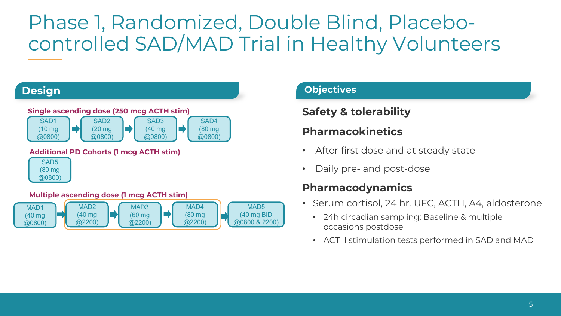# Phase 1, Randomized, Double Blind, Placebocontrolled SAD/MAD Trial in Healthy Volunteers



### **Objectives**

### **Safety & tolerability**

### **Pharmacokinetics**

- After first dose and at steady state
- Daily pre- and post-dose

### **Pharmacodynamics**

- Serum cortisol, 24 hr. UFC, ACTH, A4, aldosterone
	- 24h circadian sampling: Baseline & multiple occasions postdose
	- ACTH stimulation tests performed in SAD and MAD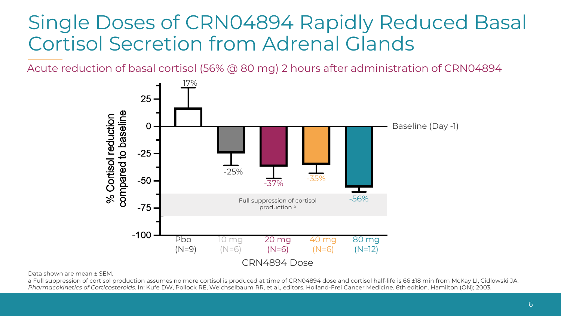# Single Doses of CRN04894 Rapidly Reduced Basal Cortisol Secretion from Adrenal Glands

Acute reduction of basal cortisol (56% @ 80 mg) 2 hours after administration of CRN04894



Data shown are mean ± SEM.

a Full suppression of cortisol production assumes no more cortisol is produced at time of CRN04894 dose and cortisol half-life is 66 ±18 min from McKay LI, Cidlowski JA. *Pharmacokinetics of Corticosteroids*. In: Kufe DW, Pollock RE, Weichselbaum RR, et al., editors. Holland-Frei Cancer Medicine. 6th edition. Hamilton (ON); 2003.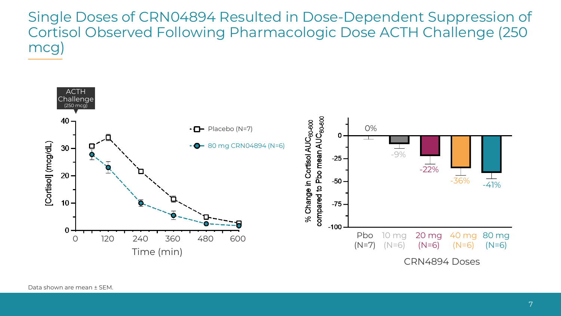Single Doses of CRN04894 Resulted in Dose-Dependent Suppression of Cortisol Observed Following Pharmacologic Dose ACTH Challenge (250 mcg)

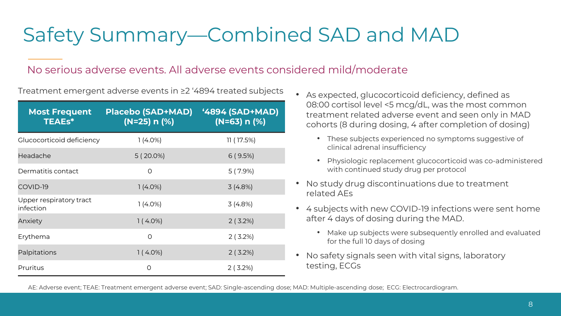# Safety Summary—Combined SAD and MAD

### No serious adverse events. All adverse events considered mild/moderate

Treatment emergent adverse events in ≥2 '4894 treated subjects

| <b>Most Frequent</b><br><b>TEAEs*</b> | <b>Placebo (SAD+MAD)</b><br>$(N=25) n$ (%) | <u>'4894 (SAD+MAD)</u><br>$(N=63) n (%)$ |
|---------------------------------------|--------------------------------------------|------------------------------------------|
| Glucocorticoid deficiency             | $1(4.0\%)$                                 | 11(17.5%)                                |
| Headache                              | $5(20.0\%)$                                | 6(9.5%)                                  |
| Dermatitis contact                    | $\circ$                                    | $5(7.9\%)$                               |
| COVID-19                              | $1(4.0\%)$                                 | 3(4.8%)                                  |
| Upper respiratory tract<br>infection  | $1(4.0\%)$                                 | 3(4.8%)                                  |
| Anxiety                               | $1(4.0\%)$                                 | 2(3.2%)                                  |
| Erythema                              | $\circ$                                    | 2(3.2%)                                  |
| Palpitations                          | $1(4.0\%)$                                 | 2(3.2%)                                  |
| Pruritus                              | O                                          | $2(3.2\%)$                               |

- As expected, glucocorticoid deficiency, defined as 08:00 cortisol level <5 mcg/dL, was the most common treatment related adverse event and seen only in MAD cohorts (8 during dosing, 4 after completion of dosing)
	- These subjects experienced no symptoms suggestive of clinical adrenal insufficiency
	- Physiologic replacement glucocorticoid was co-administered with continued study drug per protocol
- No study drug discontinuations due to treatment related AEs
- 4 subjects with new COVID-19 infections were sent home after 4 days of dosing during the MAD.
	- Make up subjects were subsequently enrolled and evaluated for the full 10 days of dosing
- No safety signals seen with vital signs, laboratory testing, ECGs

AE: Adverse event; TEAE: Treatment emergent adverse event; SAD: Single-ascending dose; MAD: Multiple-ascending dose; ECG: Electrocardiogram.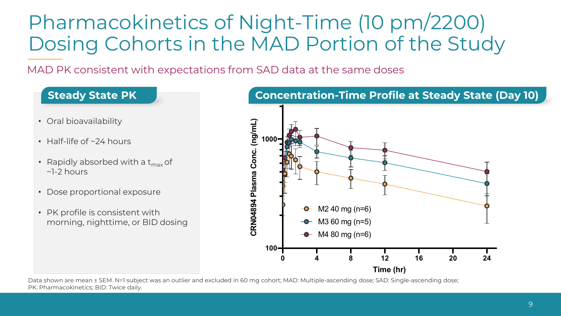# Pharmacokinetics of Night-Time (10 pm/2200) Dosing Cohorts in the MAD Portion of the Study

MAD PK consistent with expectations from SAD data at the same doses

### **Steady State PK**

- Oral bioavailability
- Half-life of ~24 hours
- Rapidly absorbed with a  $t_{\rm max}$  of ~1-2 hours
- Dose proportional exposure
- PK profile is consistent with morning, nighttime, or BID dosing



Data shown are mean ± SEM. N=1 subject was an outlier and excluded in 60 mg cohort; MAD: Multiple-ascending dose; SAD: Single-ascending dose; PK: Pharmacokinetics; BID: Twice daily.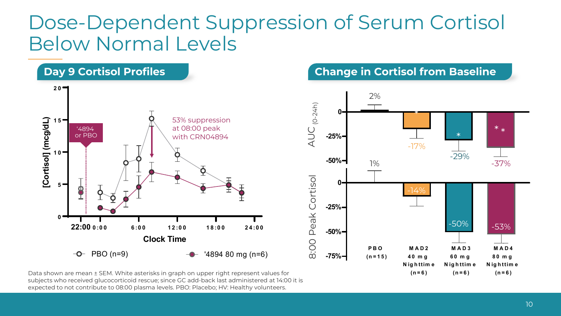## Dose-Dependent Suppression of Serum Cortisol Below Normal Levels



subjects who received glucocorticoid rescue; since GC add-back last administered at 14:00 it is expected to not contribute to 08:00 plasma levels. PBO: Placebo; HV: Healthy volunteers.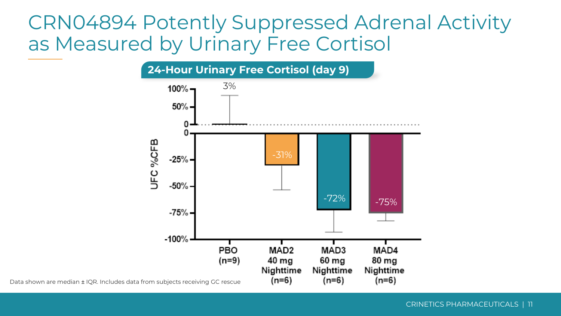## CRN04894 Potently Suppressed Adrenal Activity as Measured by Urinary Free Cortisol

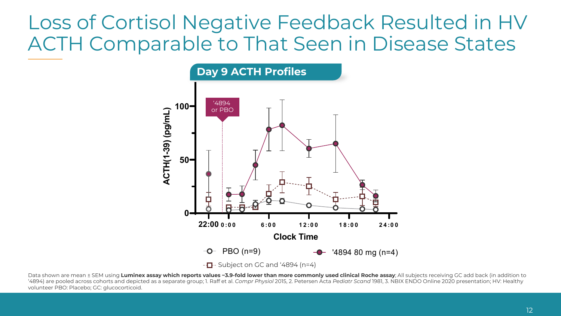# Loss of Cortisol Negative Feedback Resulted in HV ACTH Comparable to That Seen in Disease States



Data shown are mean ± SEM using Luminex assay which reports values ~3.9-fold lower than more commonly used clinical Roche assay; All subjects receiving GC add back (in addition to '4894) are pooled across cohorts and depicted as a separate group; 1. Raff et al. *Compr Physiol* 2015, 2. Petersen Acta *Pediatr Scand* 1981, 3. NBIX ENDO Online 2020 presentation; HV: Healthy volunteer PBO: Placebo; GC: glucocorticoid.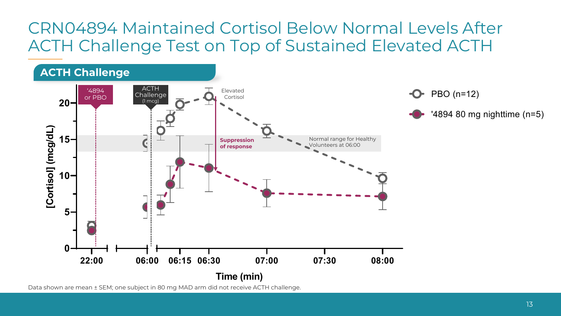## CRN04894 Maintained Cortisol Below Normal Levels After ACTH Challenge Test on Top of Sustained Elevated ACTH



Data shown are mean ± SEM; one subject in 80 mg MAD arm did not receive ACTH challenge.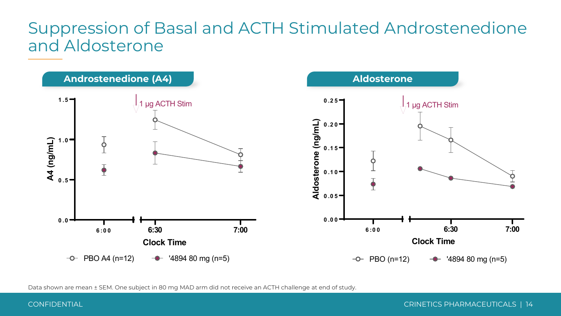### Suppression of Basal and ACTH Stimulated Androstenedione and Aldosterone



Data shown are mean ± SEM. One subject in 80 mg MAD arm did not receive an ACTH challenge at end of study.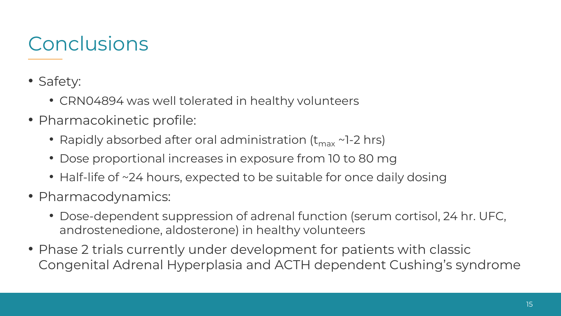# **Conclusions**

- Safety:
	- CRN04894 was well tolerated in healthy volunteers
- Pharmacokinetic profile:
	- Rapidly absorbed after oral administration  $(t_{\text{max}} \sim 1-2$  hrs)
	- Dose proportional increases in exposure from 10 to 80 mg
	- Half-life of ~24 hours, expected to be suitable for once daily dosing
- Pharmacodynamics:
	- Dose-dependent suppression of adrenal function (serum cortisol, 24 hr. UFC, androstenedione, aldosterone) in healthy volunteers
- Phase 2 trials currently under development for patients with classic Congenital Adrenal Hyperplasia and ACTH dependent Cushing's syndrome